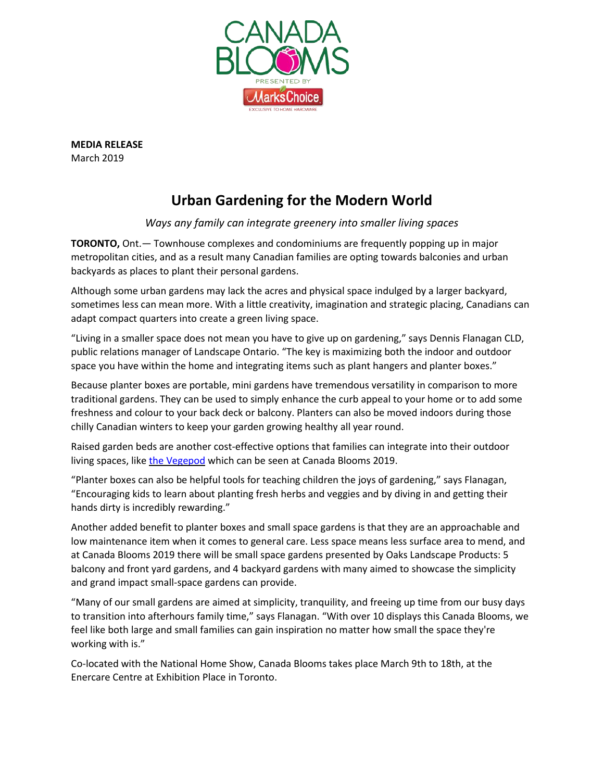

**MEDIA RELEASE** March 2019

## **Urban Gardening for the Modern World**

## *Ways any family can integrate greenery into smaller living spaces*

**TORONTO,** Ont.— Townhouse complexes and condominiums are frequently popping up in major metropolitan cities, and as a result many Canadian families are opting towards balconies and urban backyards as places to plant their personal gardens.

Although some urban gardens may lack the acres and physical space indulged by a larger backyard, sometimes less can mean more. With a little creativity, imagination and strategic placing, Canadians can adapt compact quarters into create a green living space.

"Living in a smaller space does not mean you have to give up on gardening," says Dennis Flanagan CLD, public relations manager of Landscape Ontario. "The key is maximizing both the indoor and outdoor space you have within the home and integrating items such as plant hangers and planter boxes."

Because planter boxes are portable, mini gardens have tremendous versatility in comparison to more traditional gardens. They can be used to simply enhance the curb appeal to your home or to add some freshness and colour to your back deck or balcony. Planters can also be moved indoors during those chilly Canadian winters to keep your garden growing healthy all year round.

Raised garden beds are another cost-effective options that families can integrate into their outdoor living spaces, like the [Vegepod](https://vegepod.com/) which can be seen at Canada Blooms 2019.

"Planter boxes can also be helpful tools for teaching children the joys of gardening," says Flanagan, "Encouraging kids to learn about planting fresh herbs and veggies and by diving in and getting their hands dirty is incredibly rewarding."

Another added benefit to planter boxes and small space gardens is that they are an approachable and low maintenance item when it comes to general care. Less space means less surface area to mend, and at Canada Blooms 2019 there will be small space gardens presented by Oaks Landscape Products: 5 balcony and front yard gardens, and 4 backyard gardens with many aimed to showcase the simplicity and grand impact small-space gardens can provide.

"Many of our small gardens are aimed at simplicity, tranquility, and freeing up time from our busy days to transition into afterhours family time," says Flanagan. "With over 10 displays this Canada Blooms, we feel like both large and small families can gain inspiration no matter how small the space they're working with is."

Co-located with the National Home Show, Canada Blooms takes place March 9th to 18th, at the Enercare Centre at Exhibition Place in Toronto.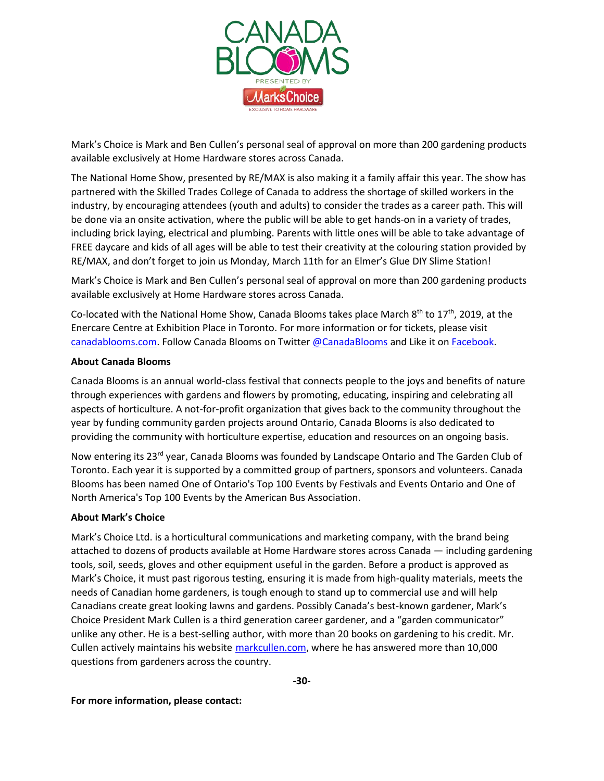

Mark's Choice is Mark and Ben Cullen's personal seal of approval on more than 200 gardening products available exclusively at Home Hardware stores across Canada.

The National Home Show, presented by RE/MAX is also making it a family affair this year. The show has partnered with the Skilled Trades College of Canada to address the shortage of skilled workers in the industry, by encouraging attendees (youth and adults) to consider the trades as a career path. This will be done via an onsite activation, where the public will be able to get hands-on in a variety of trades, including brick laying, electrical and plumbing. Parents with little ones will be able to take advantage of FREE daycare and kids of all ages will be able to test their creativity at the colouring station provided by RE/MAX, and don't forget to join us Monday, March 11th for an Elmer's Glue DIY Slime Station!

Mark's Choice is Mark and Ben Cullen's personal seal of approval on more than 200 gardening products available exclusively at Home Hardware stores across Canada.

Co-located with the National Home Show, Canada Blooms takes place March  $8<sup>th</sup>$  to 17<sup>th</sup>, 2019, at the Enercare Centre at Exhibition Place in Toronto. For more information or for tickets, please visit [canadablooms.com.](http://www.canadablooms.com/) Follow Canada Blooms on Twitter [@CanadaBlooms](http://www.twitter.com/canadablooms) and Like it on [Facebook.](http://www.facebook.com/canadablooms)

## **About Canada Blooms**

Canada Blooms is an annual world-class festival that connects people to the joys and benefits of nature through experiences with gardens and flowers by promoting, educating, inspiring and celebrating all aspects of horticulture. A not-for-profit organization that gives back to the community throughout the year by funding community garden projects around Ontario, Canada Blooms is also dedicated to providing the community with horticulture expertise, education and resources on an ongoing basis.

Now entering its 23<sup>rd</sup> year, Canada Blooms was founded by Landscape Ontario and The Garden Club of Toronto. Each year it is supported by a committed group of partners, sponsors and volunteers. Canada Blooms has been named One of Ontario's Top 100 Events by Festivals and Events Ontario and One of North America's Top 100 Events by the American Bus Association.

## **About Mark's Choice**

Mark's Choice Ltd. is a horticultural communications and marketing company, with the brand being attached to dozens of products available at Home Hardware stores across Canada — including gardening tools, soil, seeds, gloves and other equipment useful in the garden. Before a product is approved as Mark's Choice, it must past rigorous testing, ensuring it is made from high-quality materials, meets the needs of Canadian home gardeners, is tough enough to stand up to commercial use and will help Canadians create great looking lawns and gardens. Possibly Canada's best-known gardener, Mark's Choice President Mark Cullen is a third generation career gardener, and a "garden communicator" unlike any other. He is a best-selling author, with more than 20 books on gardening to his credit. Mr. Cullen actively maintains his website [markcullen.com,](http://www.markcullen.com/) where he has answered more than 10,000 questions from gardeners across the country.

**For more information, please contact:**